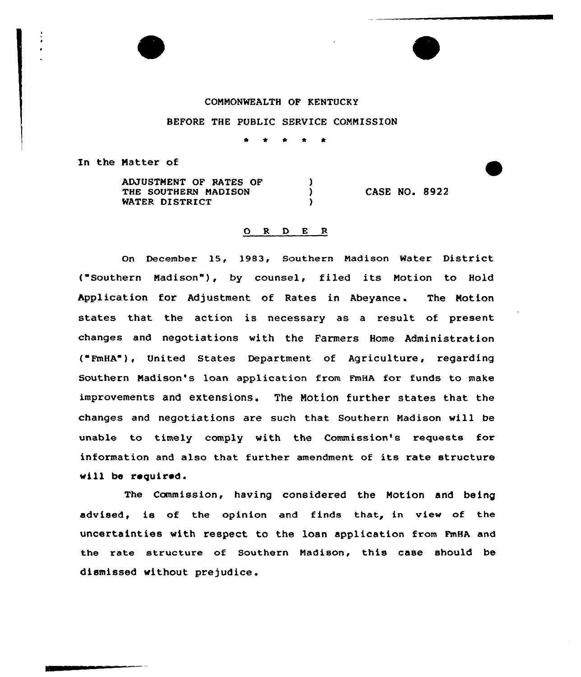## COMMONWEALTH OF KENTUCKY

## BEFORE THE PUBLIC SERVICE CONNISSION

Y  $\lambda$ v

In the Matter of

ADJUSTNENT OF RATES OF THE SOUTHERN MADISON WATER DISTRICT

CASE NO. 8922

## ORDER

On December 15, 1983, Southern Nadison Water District ("Southern Madison"), by counsel, filed its Motion to Hold Application for Adjustment of Rates in Abeyance. The Motion states that the action is necessary as a result of present changes and negotiations with the Farmers Home Administration ( FmHA"), United States Department of Agriculture, regarding Southern Madison's loan application from FmHA for funds to make improvements and extensions. The Notion further states that the changes and negotiations are such that Southern Nadison will be unable to timely comply with the Commission's requests for information and also that further amendment of its rate structure will be required.

The Commission, having considered the Notion and being advised, is of the opinion and finds that, in view of the uncertainties with respect to the loan application from FmHA and the rate structure of Southern Madison, this case should be dismissed without prejudice .